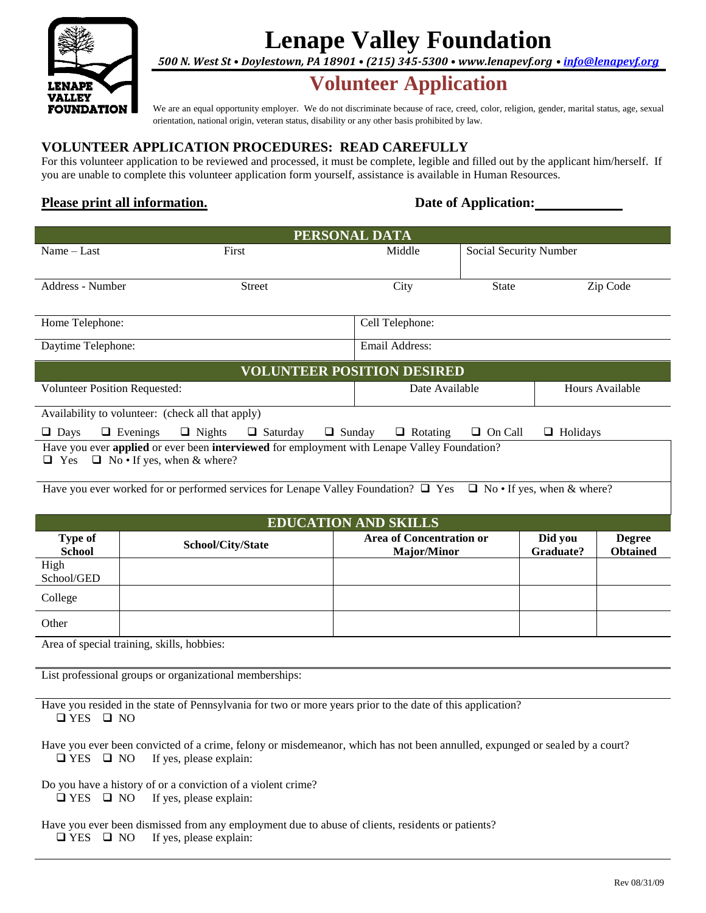

# **Lenape Valley Foundation**

*500 N. West St • Doylestown, PA 18901 • (215) 345-5300 • [www.lenapevf.org](http://www.lenapevf.org/) • [info@lenapevf.org](mailto:info@lenapevf.org)*

## **Volunteer Application**

We are an equal opportunity employer. We do not discriminate because of race, creed, color, religion, gender, marital status, age, sexual orientation, national origin, veteran status, disability or any other basis prohibited by law.

### **VOLUNTEER APPLICATION PROCEDURES: READ CAREFULLY**

For this volunteer application to be reviewed and processed, it must be complete, legible and filled out by the applicant him/herself. If you are unable to complete this volunteer application form yourself, assistance is available in Human Resources.

### **Please print all information. Date** of Application:

| PERSONAL DATA                                                                                                                               |                   |                                                       |                        |                      |                                  |  |  |  |
|---------------------------------------------------------------------------------------------------------------------------------------------|-------------------|-------------------------------------------------------|------------------------|----------------------|----------------------------------|--|--|--|
| Name $-$ Last                                                                                                                               | First             | Middle                                                | Social Security Number |                      |                                  |  |  |  |
|                                                                                                                                             |                   |                                                       |                        |                      |                                  |  |  |  |
| Address - Number                                                                                                                            | <b>Street</b>     | City                                                  | <b>State</b>           |                      | Zip Code                         |  |  |  |
|                                                                                                                                             |                   |                                                       |                        |                      |                                  |  |  |  |
| Home Telephone:                                                                                                                             |                   | Cell Telephone:                                       |                        |                      |                                  |  |  |  |
| Daytime Telephone:                                                                                                                          |                   | Email Address:                                        |                        |                      |                                  |  |  |  |
| <b>VOLUNTEER POSITION DESIRED</b>                                                                                                           |                   |                                                       |                        |                      |                                  |  |  |  |
| <b>Volunteer Position Requested:</b>                                                                                                        |                   | Date Available                                        |                        | Hours Available      |                                  |  |  |  |
| Availability to volunteer: (check all that apply)                                                                                           |                   |                                                       |                        |                      |                                  |  |  |  |
| $\Box$ Nights<br>$\Box$ Saturday<br>$\Box$ Days<br>$\Box$ Evenings<br>$\Box$ Sunday<br>$\Box$ Rotating<br>$\Box$ On Call<br>$\Box$ Holidays |                   |                                                       |                        |                      |                                  |  |  |  |
| Have you ever applied or ever been interviewed for employment with Lenape Valley Foundation?                                                |                   |                                                       |                        |                      |                                  |  |  |  |
| $\Box$ No $\cdot$ If yes, when & where?<br>$\Box$ Yes                                                                                       |                   |                                                       |                        |                      |                                  |  |  |  |
| Have you ever worked for or performed services for Lenape Valley Foundation? $\Box$ Yes $\Box$ No • If yes, when & where?                   |                   |                                                       |                        |                      |                                  |  |  |  |
|                                                                                                                                             |                   |                                                       |                        |                      |                                  |  |  |  |
| <b>EDUCATION AND SKILLS</b>                                                                                                                 |                   |                                                       |                        |                      |                                  |  |  |  |
| <b>Type of</b><br><b>School</b>                                                                                                             | School/City/State | <b>Area of Concentration or</b><br><b>Major/Minor</b> |                        | Did you<br>Graduate? | <b>Degree</b><br><b>Obtained</b> |  |  |  |
| High                                                                                                                                        |                   |                                                       |                        |                      |                                  |  |  |  |
| School/GED                                                                                                                                  |                   |                                                       |                        |                      |                                  |  |  |  |
| College                                                                                                                                     |                   |                                                       |                        |                      |                                  |  |  |  |
| Other                                                                                                                                       |                   |                                                       |                        |                      |                                  |  |  |  |

Area of special training, skills, hobbies:

List professional groups or organizational memberships:

Have you resided in the state of Pennsylvania for two or more years prior to the date of this application? YES NO

Have you ever been convicted of a crime, felony or misdemeanor, which has not been annulled, expunged or sealed by a court?  $\Box$  YES  $\Box$  NO If yes, please explain:

Do you have a history of or a conviction of a violent crime?  $\Box$  YES  $\Box$  NO If yes, please explain:

Have you ever been dismissed from any employment due to abuse of clients, residents or patients?  $\Box$  YES  $\Box$  NO If yes, please explain: